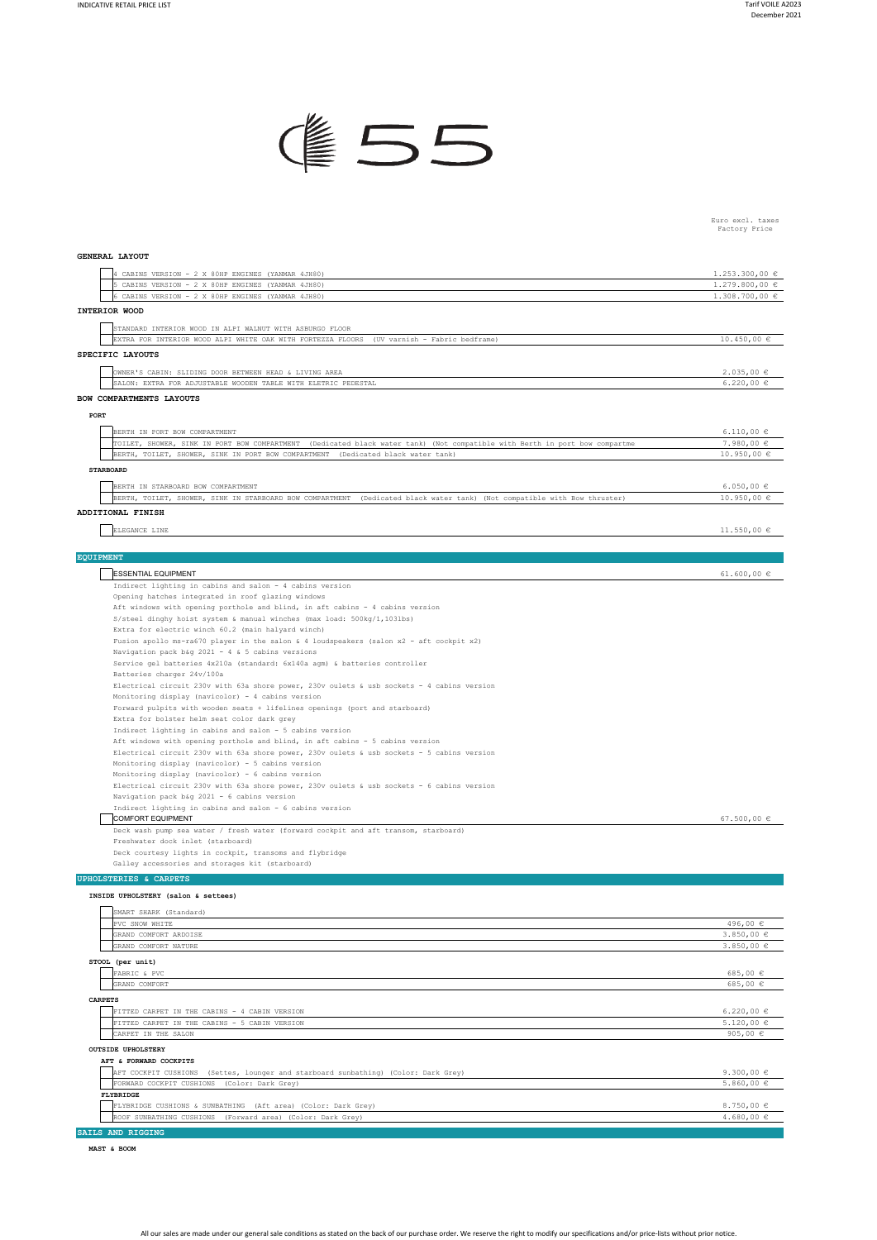

Euro excl. taxes Factory Price

## **GENERAL LAYOUT**

| 4 CABINS VERSION - 2 X 80HP ENGINES (YANMAR 4JH80)                                                                         | $1.253.300,00 \in$ |
|----------------------------------------------------------------------------------------------------------------------------|--------------------|
| 5 CABINS VERSION - 2 X 80HP ENGINES (YANMAR 4JH80)                                                                         | $1.279.800,00 \in$ |
| 6 CABINS VERSION - 2 X 80HP ENGINES (YANMAR 4JH80)                                                                         | $1.308.700,00 \in$ |
| <b>INTERIOR WOOD</b>                                                                                                       |                    |
|                                                                                                                            |                    |
| STANDARD INTERIOR WOOD IN ALPI WALNUT WITH ASBURGO FLOOR                                                                   |                    |
| EXTRA FOR INTERIOR WOOD ALPI WHITE OAK WITH FORTEZZA FLOORS (UV varnish - Fabric bedframe)                                 | 10.450,00 €        |
| SPECIFIC LAYOUTS                                                                                                           |                    |
| OWNER'S CABIN: SLIDING DOOR BETWEEN HEAD & LIVING AREA                                                                     | 2.035,00€          |
| SALON: EXTRA FOR ADJUSTABLE WOODEN TABLE WITH ELETRIC PEDESTAL                                                             | $6.220,00 \in$     |
| BOW COMPARTMENTS LAYOUTS                                                                                                   |                    |
| PORT                                                                                                                       |                    |
| BERTH IN PORT BOW COMPARTMENT                                                                                              | $6.110,00 \in$     |
| TOILET, SHOWER, SINK IN PORT BOW COMPARTMENT (Dedicated black water tank) (Not compatible with Berth in port bow compartme | $7.980,00 \in$     |
| BERTH, TOILET, SHOWER, SINK IN PORT BOW COMPARTMENT (Dedicated black water tank)                                           | 10.950,00 €        |
|                                                                                                                            |                    |
| <b>STARBOARD</b>                                                                                                           |                    |
| BERTH IN STARBOARD BOW COMPARTMENT                                                                                         | 6.050,00 $\in$     |
| BERTH, TOILET, SHOWER, SINK IN STARBOARD BOW COMPARTMENT (Dedicated black water tank) (Not compatible with Bow thruster)   | $10.950,00 \in$    |
| ADDITIONAL FINISH                                                                                                          |                    |
| ELEGANCE LINE                                                                                                              | $11.550,00 \in$    |
|                                                                                                                            |                    |
| <b>EQUIPMENT</b>                                                                                                           |                    |
| <b>ESSENTIAL EQUIPMENT</b>                                                                                                 | 61.600,00 $\in$    |
| Indirect lighting in cabins and salon - 4 cabins version                                                                   |                    |
| Opening hatches integrated in roof glazing windows                                                                         |                    |
| Aft windows with opening porthole and blind, in aft cabins - 4 cabins version                                              |                    |
| S/steel dinghy hoist system & manual winches (max load: 500kg/1,103lbs)                                                    |                    |
| Extra for electric winch 60.2 (main halyard winch)                                                                         |                    |
| Fusion apollo ms-ra670 player in the salon & 4 loudspeakers (salon x2 - aft cockpit x2)                                    |                    |
| Navigation pack b&q 2021 - 4 & 5 cabins versions                                                                           |                    |
| Service gel batteries 4x210a (standard: 6x140a agm) & batteries controller                                                 |                    |
| Batteries charger 24v/100a                                                                                                 |                    |
| Electrical circuit 230v with 63a shore power, 230v oulets & usb sockets - 4 cabins version                                 |                    |
| Monitoring display (navicolor) - 4 cabins version                                                                          |                    |
| Forward pulpits with wooden seats + lifelines openings (port and starboard)                                                |                    |
| Extra for bolster helm seat color dark grey                                                                                |                    |
| Indirect lighting in cabins and salon - 5 cabins version                                                                   |                    |

Indirect lighting in cabins and salon – 5 cabins version<br>Aft windows with opening porthole and blind, in aft cabins – 5 cabins version

Electrical circuit 230v with 63a shore power, 230v oulets & usb sockets - 5 cabins version

Monitoring display (navicolor) – 5 cabins version<br>Monitoring display (navicolor) – 6 cabins version<br>Electrical circuit 230v with 63a shore power, 230v oulets & usb sockets – 6 cabins version

Navigation pack b&g 2021 - 6 cabins version

67.500,00 € Indirect lighting in cabins and salon - 6 cabins version COMFORT EQUIPMENT Deck wash pump sea water / fresh water (forward cockpit and aft transom, starboard)

Freshwater dock inlet (starboard)

Deck courtesy lights in cockpit, transoms and flybridge Galley accessories and storages kit (starboard)

## **UPHOLSTERIES & CARPETS**

**INSIDE UPHOLSTERY (salon & settees)**

|                | SMART SHARK (Standard)                                                                |                |
|----------------|---------------------------------------------------------------------------------------|----------------|
|                | PVC SNOW WHITE                                                                        | 496,00 €       |
|                | GRAND COMFORT ARDOISE                                                                 | $3.850,00 \in$ |
|                | GRAND COMFORT NATURE                                                                  | $3.850,00 \in$ |
|                | STOOL (per unit)                                                                      |                |
|                | FABRIC & PVC                                                                          | 685,00€        |
|                | GRAND COMFORT                                                                         | 685,00 $\in$   |
| <b>CARPETS</b> |                                                                                       |                |
|                | FITTED CARPET IN THE CABINS - 4 CABIN VERSION                                         | $6.220,00 \in$ |
|                | FITTED CARPET IN THE CABINS - 5 CABIN VERSION                                         | $5.120,00 \in$ |
|                | CARPET IN THE SALON                                                                   | 905,00 $\in$   |
|                | <b>OUTSIDE UPHOLSTERY</b>                                                             |                |
|                | AFT & FORWARD COCKPITS                                                                |                |
|                | AFT COCKPIT CUSHIONS<br>(Settes, lounger and starboard sunbathing) (Color: Dark Grey) | 9.300,00 $\in$ |
|                | FORWARD COCKPIT CUSHIONS<br>(Color: Dark Grey)                                        | $5.860,00 \in$ |
|                | FLYBRIDGE                                                                             |                |
|                | FLYBRIDGE CUSHIONS & SUNBATHING (Aft area) (Color: Dark Grey)                         | 8.750,00 $\in$ |
|                | ROOF SUNBATHING CUSHIONS<br>(Forward area) (Color: Dark Grey)                         | $4.680,00 \in$ |
|                | SAILS AND RIGGING                                                                     |                |

**MAST & BOOM**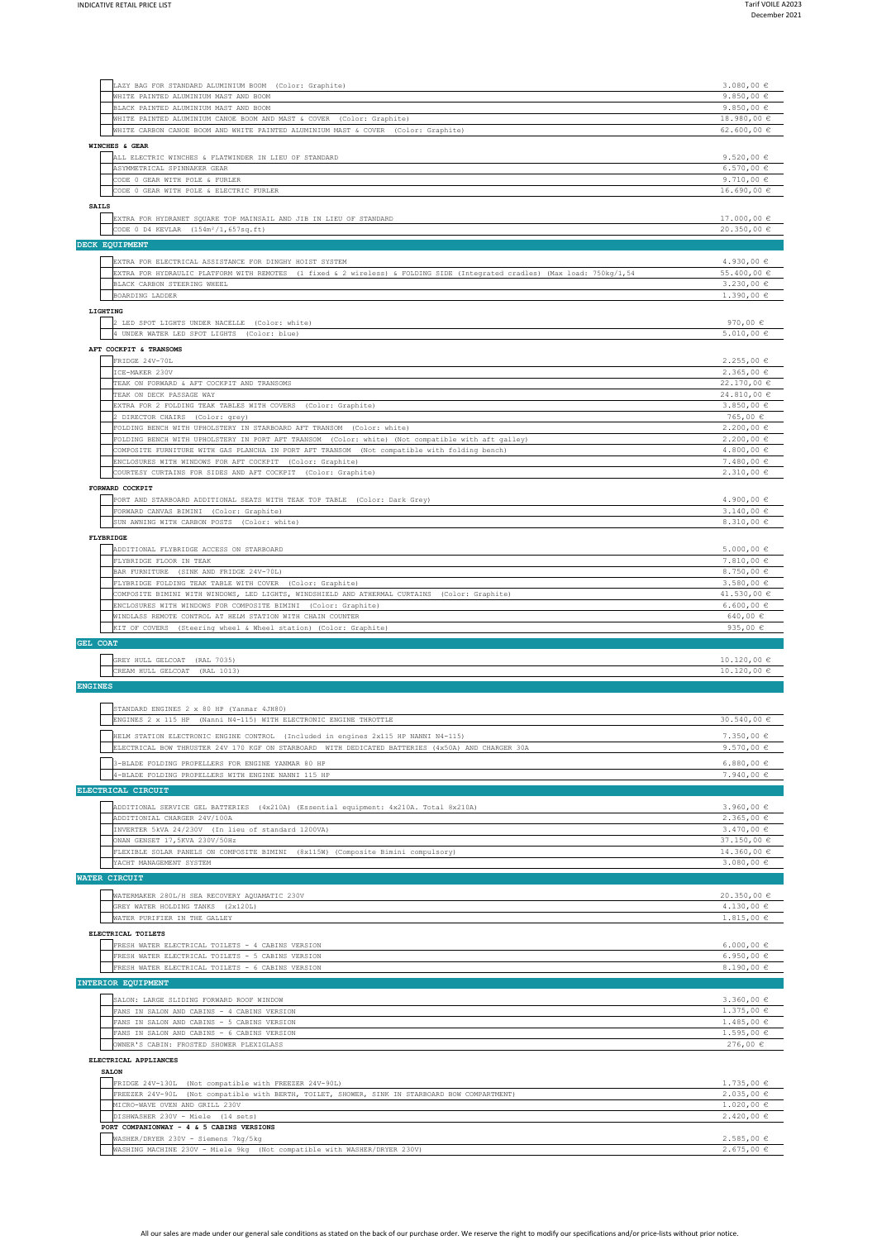| LAZY BAG FOR STANDARD ALUMINIUM BOOM (Color: Graphite)<br>WHITE PAINTED ALUMINIUM MAST AND BOOM                                                           | $3.080,00 \in$<br>9.850,00 $\in$<br>9.850,00 $\in$                                                                                             |
|-----------------------------------------------------------------------------------------------------------------------------------------------------------|------------------------------------------------------------------------------------------------------------------------------------------------|
| BLACK PAINTED ALUMINIUM MAST AND BOOM<br>WHITE PAINTED ALUMINIUM CANOE BOOM AND MAST & COVER (Color: Graphite)                                            | 18.980,00 €                                                                                                                                    |
| WHITE CARBON CANOE BOOM AND WHITE PAINTED ALUMINIUM MAST & COVER (Color: Graphite)                                                                        | 62.600,00 $\epsilon$                                                                                                                           |
| WINCHES & GEAR                                                                                                                                            |                                                                                                                                                |
| ALL ELECTRIC WINCHES & FLATWINDER IN LIEU OF STANDARD                                                                                                     | 9.520,00 $\in$                                                                                                                                 |
| ASYMMETRICAL SPINNAKER GEAR                                                                                                                               | $6.570,00 \in$                                                                                                                                 |
| CODE 0 GEAR WITH POLE & FURLER<br>CODE 0 GEAR WITH POLE & ELECTRIC FURLER                                                                                 | 9.710,00 $\epsilon$<br>$16.690,00 \in$                                                                                                         |
| <b>SAILS</b>                                                                                                                                              |                                                                                                                                                |
| EXTRA FOR HYDRANET SQUARE TOP MAINSAIL AND JIB IN LIEU OF STANDARD                                                                                        | $17.000,00 \in$                                                                                                                                |
| CODE 0 D4 KEVLAR (154m <sup>2</sup> /1,657sq.ft)                                                                                                          | 20.350,00 €                                                                                                                                    |
| DECK EQUIPMENT                                                                                                                                            |                                                                                                                                                |
| EXTRA FOR ELECTRICAL ASSISTANCE FOR DINGHY HOIST SYSTEM                                                                                                   | $4.930,00 \in$                                                                                                                                 |
| EXTRA FOR HYDRAULIC PLATFORM WITH REMOTES (1 fixed & 2 wireless) & FOLDING SIDE (Integrated cradles) (Max load: 750kg/1,54                                | 55.400,00 €                                                                                                                                    |
| BLACK CARBON STEERING WHEEL                                                                                                                               | $3.230,00 \in$                                                                                                                                 |
| BOARDING LADDER                                                                                                                                           | $1.390,00 \in$                                                                                                                                 |
| LIGHTING                                                                                                                                                  |                                                                                                                                                |
| 2 LED SPOT LIGHTS UNDER NACELLE (Color: white)                                                                                                            | 970,00 $\in$                                                                                                                                   |
| UNDER WATER LED SPOT LIGHTS (Color: blue)                                                                                                                 | $5.010,00 \in$                                                                                                                                 |
| AFT COCKPIT & TRANSOMS                                                                                                                                    |                                                                                                                                                |
| FRIDGE 24V-70L                                                                                                                                            | 2.255,00€                                                                                                                                      |
| ICE-MAKER 230V<br>TEAK ON FORWARD & AFT COCKPIT AND TRANSOMS                                                                                              | $2.365,00 \in$<br>22.170,00 €                                                                                                                  |
| TEAK ON DECK PASSAGE WAY                                                                                                                                  | 24.810,00 €                                                                                                                                    |
| EXTRA FOR 2 FOLDING TEAK TABLES WITH COVERS (Color: Graphite)                                                                                             | $3.850,00 \in$                                                                                                                                 |
| 2 DIRECTOR CHAIRS (Color: grey)                                                                                                                           | 765,00 €                                                                                                                                       |
| FOLDING BENCH WITH UPHOLSTERY IN STARBOARD AFT TRANSOM (Color: white)                                                                                     | $2.200,00 \in$                                                                                                                                 |
| FOLDING BENCH WITH UPHOLSTERY IN PORT AFT TRANSOM (Color: white) (Not compatible with aft galley)                                                         | $2.200,00 \in$                                                                                                                                 |
| COMPOSITE FURNITURE WITH GAS PLANCHA IN PORT AFT TRANSOM (Not compatible with folding bench)<br>ENCLOSURES WITH WINDOWS FOR AFT COCKPIT (Color: Graphite) | $4.800,00 \in$<br>$7.480,00 \in$                                                                                                               |
| COURTESY CURTAINS FOR SIDES AND AFT COCKPIT (Color: Graphite)                                                                                             | 2.310,00€                                                                                                                                      |
| FORWARD COCKPIT                                                                                                                                           |                                                                                                                                                |
| PORT AND STARBOARD ADDITIONAL SEATS WITH TEAK TOP TABLE (Color: Dark Grey)                                                                                | $4.900,00 \in$                                                                                                                                 |
| FORWARD CANVAS BIMINI (Color: Graphite)                                                                                                                   | $3.140,00 \in$                                                                                                                                 |
| SUN AWNING WITH CARBON POSTS (Color: white)                                                                                                               | 8.310,00 $\in$                                                                                                                                 |
| FLYBRIDGE                                                                                                                                                 |                                                                                                                                                |
| ADDITIONAL FLYBRIDGE ACCESS ON STARBOARD                                                                                                                  | $5.000,00 \in$                                                                                                                                 |
| FLYBRIDGE FLOOR IN TEAK                                                                                                                                   | $7.810,00 \in$                                                                                                                                 |
| BAR FURNITURE (SINK AND FRIDGE 24V-70L)<br>FLYBRIDGE FOLDING TEAK TABLE WITH COVER (Color: Graphite)                                                      | 8.750,00 €<br>$3.580,00 \in$                                                                                                                   |
| COMPOSITE BIMINI WITH WINDOWS, LED LIGHTS, WINDSHIELD AND ATHERMAL CURTAINS (Color: Graphite)                                                             | 41.530,00 €                                                                                                                                    |
| ENCLOSURES WITH WINDOWS FOR COMPOSITE BIMINI (Color: Graphite)                                                                                            | $6.600,00 \in$                                                                                                                                 |
| WINDLASS REMOTE CONTROL AT HELM STATION WITH CHAIN COUNTER                                                                                                | 640,00 $\in$                                                                                                                                   |
| KIT OF COVERS (Steering wheel & Wheel station) (Color: Graphite)                                                                                          | 935,00 $\epsilon$                                                                                                                              |
| GEL COAT                                                                                                                                                  |                                                                                                                                                |
| GREY HULL GELCOAT (RAL 7035)                                                                                                                              | 10.120,00 €                                                                                                                                    |
| CREAM HULL GELCOAT (RAL 1013)                                                                                                                             | 10.120,00 €                                                                                                                                    |
| <b>ENGINES</b>                                                                                                                                            |                                                                                                                                                |
|                                                                                                                                                           |                                                                                                                                                |
| STANDARD ENGINES 2 x 80 HP (Yanmar 4JH80)                                                                                                                 |                                                                                                                                                |
| ENGINES 2 x 115 HP (Nanni N4-115) WITH ELECTRONIC ENGINE THROTTLE                                                                                         | 30.540,00 €                                                                                                                                    |
| HELM STATION ELECTRONIC ENGINE CONTROL (Included in engines 2x115 HP NANNI N4-115)                                                                        | $7.350,00 \in$                                                                                                                                 |
| ELECTRICAL BOW THRUSTER 24V 170 KGF ON STARBOARD WITH DEDICATED BATTERIES (4x50A) AND CHARGER 30A                                                         | 9.570,00 $\in$                                                                                                                                 |
| 3-BLADE FOLDING PROPELLERS FOR ENGINE YANMAR 80 HP                                                                                                        | $6.880,00 \in$                                                                                                                                 |
| 4-BLADE FOLDING PROPELLERS WITH ENGINE NANNI 115 HP                                                                                                       | 7.940,00 €                                                                                                                                     |
| ELECTRICAL CIRCUIT                                                                                                                                        |                                                                                                                                                |
| ADDITIONAL SERVICE GEL BATTERIES (4x210A) (Essential equipment: 4x210A. Total 8x210A)                                                                     | 3.960,00 $\in$                                                                                                                                 |
| ADDITIONIAL CHARGER 24V/100A                                                                                                                              | 2.365,00€                                                                                                                                      |
| INVERTER 5kVA 24/230V (In lieu of standard 1200VA)                                                                                                        | $3.470,00 \in$                                                                                                                                 |
| ONAN GENSET 17, 5KVA 230V/50Hz                                                                                                                            | 37.150,00 €                                                                                                                                    |
|                                                                                                                                                           |                                                                                                                                                |
| FLEXIBLE SOLAR PANELS ON COMPOSITE BIMINI (8x115W) (Composite Bimini compulsory)                                                                          |                                                                                                                                                |
| YACHT MANAGEMENT SYSTEM                                                                                                                                   |                                                                                                                                                |
| WATER CIRCUIT                                                                                                                                             |                                                                                                                                                |
| WATERMAKER 280L/H SEA RECOVERY AQUAMATIC 230V                                                                                                             |                                                                                                                                                |
| GREY WATER HOLDING TANKS (2x120L)                                                                                                                         |                                                                                                                                                |
| WATER PURIFIER IN THE GALLEY                                                                                                                              |                                                                                                                                                |
| ELECTRICAL TOILETS                                                                                                                                        |                                                                                                                                                |
| FRESH WATER ELECTRICAL TOILETS - 4 CABINS VERSION                                                                                                         |                                                                                                                                                |
| FRESH WATER ELECTRICAL TOILETS - 5 CABINS VERSION                                                                                                         |                                                                                                                                                |
| FRESH WATER ELECTRICAL TOILETS - 6 CABINS VERSION                                                                                                         |                                                                                                                                                |
| INTERIOR EQUIPMENT                                                                                                                                        | 14.360,00 €<br>$3.080,00 \in$<br>20.350,00 €<br>$4.130,00 \in$<br>$1.815,00 \in$<br>$6.000,00 \in$<br>6.950,00 $\epsilon$<br>8.190,00 €        |
| SALON: LARGE SLIDING FORWARD ROOF WINDOW                                                                                                                  |                                                                                                                                                |
| FANS IN SALON AND CABINS - 4 CABINS VERSION                                                                                                               |                                                                                                                                                |
| FANS IN SALON AND CABINS - 5 CABINS VERSION                                                                                                               |                                                                                                                                                |
| FANS IN SALON AND CABINS - 6 CABINS VERSION                                                                                                               |                                                                                                                                                |
| OWNER'S CABIN: FROSTED SHOWER PLEXIGLASS                                                                                                                  |                                                                                                                                                |
| ELECTRICAL APPLIANCES                                                                                                                                     |                                                                                                                                                |
| <b>SALON</b>                                                                                                                                              |                                                                                                                                                |
| FRIDGE 24V-130L (Not compatible with FREEZER 24V-90L)<br>FREEZER 24V-90L (Not compatible with BERTH, TOILET, SHOWER, SINK IN STARBOARD BOW COMPARTMENT)   |                                                                                                                                                |
| MICRO-WAVE OVEN AND GRILL 230V                                                                                                                            |                                                                                                                                                |
| DISHWASHER 230V - Miele (14 sets)                                                                                                                         |                                                                                                                                                |
| PORT COMPANIONWAY - 4 & 5 CABINS VERSIONS                                                                                                                 | $3.360,00 \in$<br>$1.375,00 \in$<br>$1.485,00 \in$<br>$1.595,00 \in$<br>276,00 €<br>$1.735,00 \in$<br>2.035,00€<br>$1.020,00 \in$<br>2.420,00€ |
| WASHER/DRYER 230V - Siemens 7kg/5kg<br>WASHING MACHINE 230V - Miele 9kg (Not compatible with WASHER/DRYER 230V)                                           | 2.585,00€<br>2.675,00€                                                                                                                         |